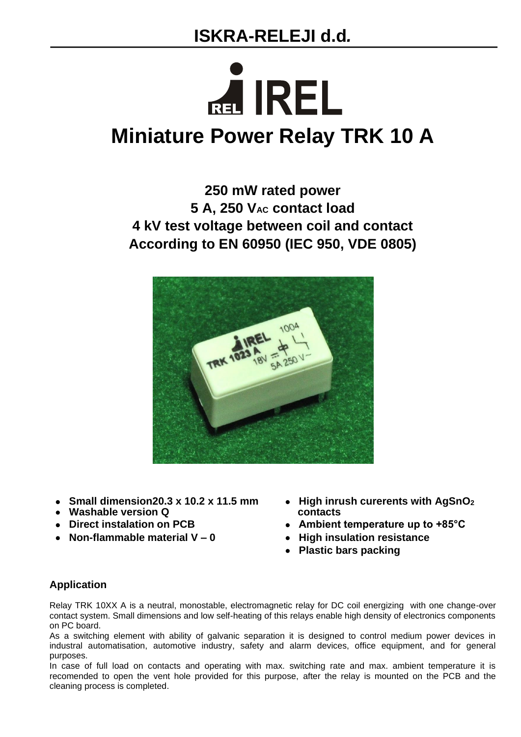## **ISKRA-RELEJI d.d***.*

# REL **IREL Miniature Power Relay TRK 10 A**

### **250 mW rated power 5 A, 250 VAC contact load 4 kV test voltage between coil and contact According to EN 60950 (IEC 950, VDE 0805)**



- 
- Washable version Q
- 
- • **Non-flammable material V – 0** • **High insulation resistance**
- • **Small dimension20.3 x 10.2 x 11.5 mm** • **High inrush curerents with AgSnO<sup>2</sup>**
- • **Direct instalation on PCB** • **Ambient temperature up to +85°C**
	-
	- • **Plastic bars packing**

#### **Application**

Relay TRK 10XX A is a neutral, monostable, electromagnetic relay for DC coil energizing with one change-over contact system. Small dimensions and low self-heating of this relays enable high density of electronics components on PC board.

As a switching element with ability of galvanic separation it is designed to control medium power devices in industral automatisation, automotive industry, safety and alarm devices, office equipment, and for general purposes.

In case of full load on contacts and operating with max. switching rate and max. ambient temperature it is recomended to open the vent hole provided for this purpose, after the relay is mounted on the PCB and the cleaning process is completed.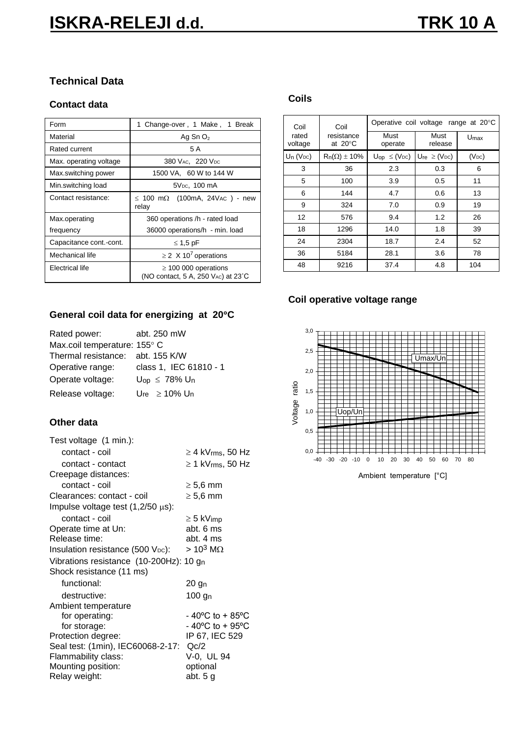#### **Technical Data**

#### **Contact data**

| Form                    | 1 Change-over, 1 Make, 1 Break                                                            |  |  |  |
|-------------------------|-------------------------------------------------------------------------------------------|--|--|--|
| Material                | Ag Sn $O2$                                                                                |  |  |  |
| Rated current           | 5 A                                                                                       |  |  |  |
| Max. operating voltage  | 380 V <sub>AC</sub> , 220 V <sub>DC</sub>                                                 |  |  |  |
| Max.switching power     | 1500 VA, 60 W to 144 W                                                                    |  |  |  |
| Min.switching load      | 5V <sub>pc</sub> , 100 mA                                                                 |  |  |  |
| Contact resistance:     | $\leq$ 100 m $\Omega$ (100mA, 24Vac) - new<br>relay                                       |  |  |  |
| Max.operating           | 360 operations /h - rated load                                                            |  |  |  |
| frequency               | 36000 operations/h - min. load                                                            |  |  |  |
| Capacitance cont.-cont. | $\leq 1.5$ pF                                                                             |  |  |  |
| Mechanical life         | $\geq$ 2 X 10 <sup>7</sup> operations                                                     |  |  |  |
| Flectrical life         | $\geq$ 100 000 operations<br>(NO contact, 5 A, 250 V <sub>AC</sub> ) at 23 <sup>°</sup> C |  |  |  |

#### **General coil data for energizing at 20C**

| Rated power:                     | abt. 250 mW                           |
|----------------------------------|---------------------------------------|
| Max.coil temperature: 155° C     |                                       |
| Thermal resistance: abt. 155 K/W |                                       |
| Operative range:                 | class 1, IEC 61810 - 1                |
| Operate voltage:                 | $U_{op} \leq 78\% U_{n}$              |
| Release voltage:                 | $U_{\text{re}} \ge 10\% U_{\text{n}}$ |

#### **Other data**

| Test voltage (1 min.):                                 |                                      |
|--------------------------------------------------------|--------------------------------------|
| contact - coil                                         | $\geq 4$ kV $_{\rm rms}, 50$ Hz      |
| contact - contact                                      | ≥ 1 kVrms, 50 Hz                     |
| Creepage distances:                                    |                                      |
| contact - coil                                         | $\geq 5.6$ mm                        |
| Clearances: contact - coil                             | $\geq 5.6$ mm                        |
| Impulse voltage test $(1,2/50 \,\mu s)$ :              |                                      |
| contact - coil                                         | $\geq$ 5 kVimp                       |
| Operate time at Un:                                    | abt. 6 ms                            |
| Release time:                                          | abt. 4 ms                            |
| Insulation resistance (500 V <sub>pc</sub> ):          | $> 10^3$ M $\Omega$                  |
| Vibrations resistance $(10-200Hz)$ : 10 g <sub>n</sub> |                                      |
| Shock resistance (11 ms)                               |                                      |
| functional:                                            | 20 gn                                |
| destructive:                                           | $100$ g <sub>n</sub>                 |
| Ambient temperature                                    |                                      |
| for operating:                                         | $-40^{\circ}$ C to + 85 $^{\circ}$ C |
| for storage:                                           | $-40^{\circ}$ C to + 95 $^{\circ}$ C |
| Protection degree:                                     | IP 67, IEC 529                       |
| Seal test: (1min), IEC60068-2-17: Qc/2                 |                                      |
| Flammability class:                                    | V-0, UL 94                           |
| Mounting position:                                     | optional                             |
| Relay weight:                                          | abt. $5g$                            |

#### **Coils**

| Coil                                                | Coil                   | Operative coil voltage range at 20°C     |                                      |            |
|-----------------------------------------------------|------------------------|------------------------------------------|--------------------------------------|------------|
| resistance<br>rated<br>at $20^{\circ}$ C<br>voltage | Must<br>operate        | Must<br>release                          | $U_{\text{max}}$                     |            |
| $Un (V_{DC})$                                       | $R_n(\Omega) \pm 10\%$ | $\mathsf{U_{op}} \leq (\mathsf{V_{DC}})$ | $U_{\text{re}} \geq (V_{\text{DC}})$ | $(V_{DC})$ |
| 3                                                   | 36                     | 2.3                                      | 0.3                                  | 6          |
| 5                                                   | 100                    | 3.9                                      | 0.5                                  | 11         |
| 6                                                   | 144                    | 4.7                                      | 0.6                                  | 13         |
| 9                                                   | 324                    | 7.0                                      | 0.9                                  | 19         |
| $12 \overline{ }$                                   | 576                    | 9.4                                      | 1.2                                  | 26         |
| 18                                                  | 1296                   | 14.0                                     | 1.8                                  | 39         |
| 24                                                  | 2304                   | 18.7                                     | 2.4                                  | 52         |
| 36                                                  | 5184                   | 28.1                                     | 3.6                                  | 78         |
| 48                                                  | 9216                   | 37.4                                     | 4.8                                  | 104        |

#### **Coil operative voltage range**